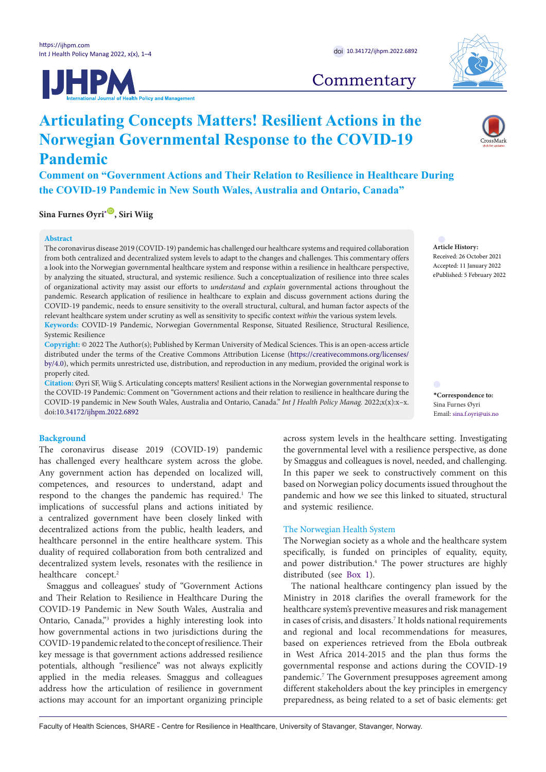



# **Commentary**

<span id="page-0-0"></span>**\*Correspondence to:** Sina Furnes Øyri Email: sina.f.oyri@uis.no

**Article History:** Received: 26 October 2021 Accepted: 11 January 2022 ePublished: 5 February 2022

**Comment on "Government Actions and Their Relation to Resilience in Healthcare During the COVID-19 Pandemic in New South Wales, Australia and Ontario, Canada"**

**Articulating Concepts Matters! Resilient Actions in the** 

**Norwegian Governmental Response to the COVID-19** 

**Sina Furnes Øyri**<sup>[\\*](#page-0-0)</sup>, Siri Wiig

#### **Abstract**

**Pandemic**

The coronavirus disease 2019 (COVID-19) pandemic has challenged our healthcare systems and required collaboration from both centralized and decentralized system levels to adapt to the changes and challenges. This commentary offers a look into the Norwegian governmental healthcare system and response within a resilience in healthcare perspective, by analyzing the situated, structural, and systemic resilience. Such a conceptualization of resilience into three scales of organizational activity may assist our efforts to *understand* and *explain* governmental actions throughout the pandemic. Research application of resilience in healthcare to explain and discuss government actions during the COVID-19 pandemic, needs to ensure sensitivity to the overall structural, cultural, and human factor aspects of the relevant healthcare system under scrutiny as well as sensitivity to specific context *within* the various system levels. **Keywords:** COVID-19 Pandemic, Norwegian Governmental Response, Situated Resilience, Structural Resilience,

Systemic Resilience

**Copyright:** © 2022 The Author(s); Published by Kerman University of Medical Sciences. This is an open-access article distributed under the terms of the Creative Commons Attribution License ([https://creativecommons.org/licenses/](https://creativecommons.org/licenses/by/4.0/) [by/4.0\)](https://creativecommons.org/licenses/by/4.0/), which permits unrestricted use, distribution, and reproduction in any medium, provided the original work is properly cited.

**Citation:** Øyri SF, Wiig S. Articulating concepts matters! Resilient actions in the Norwegian governmental response to the COVID-19 Pandemic: Comment on "Government actions and their relation to resilience in healthcare during the COVID-19 pandemic in New South Wales, Australia and Ontario, Canada." *Int J Health Policy Manag.* 2022;x(x):x–x. doi[:10.34172/ijhpm.2022.6892](https://doi.org/10.34172/ijhpm.2022.6892)

# **Background**

The coronavirus disease 2019 (COVID-19) pandemic has challenged every healthcare system across the globe. Any government action has depended on localized will, competences, and resources to understand, adapt and respond to the changes the pandemic has required.<sup>1</sup> The implications of successful plans and actions initiated by a centralized government have been closely linked with decentralized actions from the public, health leaders, and healthcare personnel in the entire healthcare system. This duality of required collaboration from both centralized and decentralized system levels, resonates with the resilience in healthcare concept.<sup>2</sup>

Smaggus and colleagues' study of "Government Actions and Their Relation to Resilience in Healthcare During the COVID-19 Pandemic in New South Wales, Australia and Ontario, Canada,"<sup>3</sup> provides a highly interesting look into how governmental actions in two jurisdictions during the COVID-19 pandemic related to the concept of resilience. Their key message is that government actions addressed resilience potentials, although "resilience" was not always explicitly applied in the media releases. Smaggus and colleagues address how the articulation of resilience in government actions may account for an important organizing principle across system levels in the healthcare setting. Investigating the governmental level with a resilience perspective, as done by Smaggus and colleagues is novel, needed, and challenging. In this paper we seek to constructively comment on this based on Norwegian policy documents issued throughout the pandemic and how we see this linked to situated, structural and systemic resilience.

### The Norwegian Health System

The Norwegian society as a whole and the healthcare system specifically, is funded on principles of equality, equity, and power distribution.<sup>4</sup> The power structures are highly distributed (see [Box 1](#page-1-0)).

The national healthcare contingency plan issued by the Ministry in 2018 clarifies the overall framework for the healthcare system's preventive measures and risk management in cases of crisis, and disasters.7 It holds national requirements and regional and local recommendations for measures, based on experiences retrieved from the Ebola outbreak in West Africa 2014-2015 and the plan thus forms the governmental response and actions during the COVID-19 pandemic.<sup>7</sup> The Government presupposes agreement among different stakeholders about the key principles in emergency preparedness, as being related to a set of basic elements: get

Faculty of Health Sciences, SHARE - Centre for Resilience in Healthcare, University of Stavanger, Stavanger, Norway.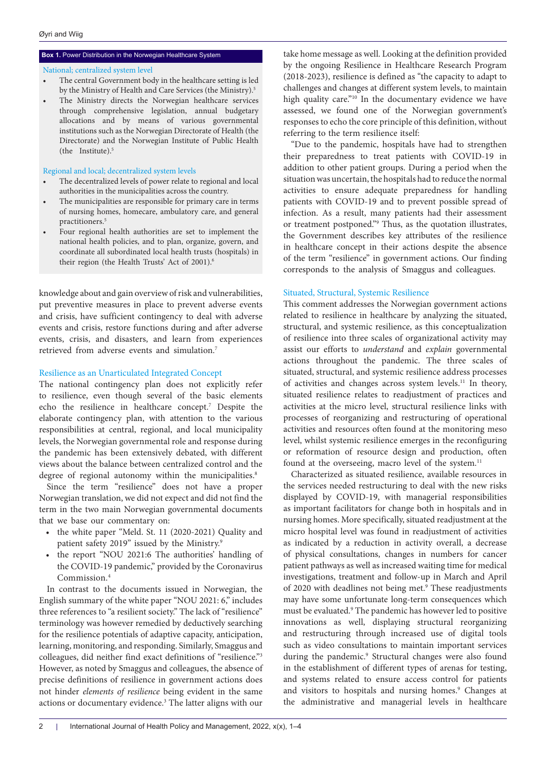# National; centralized system level

- The central Government body in the healthcare setting is led by the Ministry of Health and Care Services (the Ministry).<sup>5</sup>
- The Ministry directs the Norwegian healthcare services through comprehensive legislation, annual budgetary allocations and by means of various governmental institutions such as the Norwegian Directorate of Health (the Directorate) and the Norwegian Institute of Public Health (the Institute).5

#### Regional and local; decentralized system levels

- The decentralized levels of power relate to regional and local authorities in the municipalities across the country.
- The municipalities are responsible for primary care in terms of nursing homes, homecare, ambulatory care, and general practitioners.5
- Four regional health authorities are set to implement the national health policies, and to plan, organize, govern, and coordinate all subordinated local health trusts (hospitals) in their region (the Health Trusts' Act of 2001).<sup>6</sup>

knowledge about and gain overview of risk and vulnerabilities, put preventive measures in place to prevent adverse events and crisis, have sufficient contingency to deal with adverse events and crisis, restore functions during and after adverse events, crisis, and disasters, and learn from experiences retrieved from adverse events and simulation.7

## Resilience as an Unarticulated Integrated Concept

The national contingency plan does not explicitly refer to resilience, even though several of the basic elements echo the resilience in healthcare concept.7 Despite the elaborate contingency plan, with attention to the various responsibilities at central, regional, and local municipality levels, the Norwegian governmental role and response during the pandemic has been extensively debated, with different views about the balance between centralized control and the degree of regional autonomy within the municipalities.<sup>8</sup>

Since the term "resilience" does not have a proper Norwegian translation, we did not expect and did not find the term in the two main Norwegian governmental documents that we base our commentary on:

- the white paper "Meld. St. 11 (2020-2021) Quality and patient safety 2019" issued by the Ministry.9
- the report "NOU 2021:6 The authorities' handling of the COVID-19 pandemic," provided by the Coronavirus Commission.4

In contrast to the documents issued in Norwegian, the English summary of the white paper "NOU 2021: 6," includes three references to "a resilient society." The lack of "resilience" terminology was however remedied by deductively searching for the resilience potentials of adaptive capacity, anticipation, learning, monitoring, and responding. Similarly, Smaggus and colleagues, did neither find exact definitions of "resilience."3 However, as noted by Smaggus and colleagues, the absence of precise definitions of resilience in government actions does not hinder *elements of resilience* being evident in the same actions or documentary evidence.3 The latter aligns with our

<span id="page-1-0"></span>**Box 1.** Power Distribution in the Norwegian Healthcare System take home message as well. Looking at the definition provided by the ongoing Resilience in Healthcare Research Program (2018-2023), resilience is defined as "the capacity to adapt to challenges and changes at different system levels, to maintain high quality care."<sup>10</sup> In the documentary evidence we have assessed, we found one of the Norwegian government's responses to echo the core principle of this definition, without referring to the term resilience itself:

> "Due to the pandemic, hospitals have had to strengthen their preparedness to treat patients with COVID-19 in addition to other patient groups. During a period when the situation was uncertain, the hospitals had to reduce the normal activities to ensure adequate preparedness for handling patients with COVID-19 and to prevent possible spread of infection. As a result, many patients had their assessment or treatment postponed."9 Thus, as the quotation illustrates, the Government describes key attributes of the resilience in healthcare concept in their actions despite the absence of the term "resilience" in government actions. Our finding corresponds to the analysis of Smaggus and colleagues.

### Situated, Structural, Systemic Resilience

This comment addresses the Norwegian government actions related to resilience in healthcare by analyzing the situated, structural, and systemic resilience, as this conceptualization of resilience into three scales of organizational activity may assist our efforts to *understand* and *explain* governmental actions throughout the pandemic. The three scales of situated, structural, and systemic resilience address processes of activities and changes across system levels.11 In theory, situated resilience relates to readjustment of practices and activities at the micro level, structural resilience links with processes of reorganizing and restructuring of operational activities and resources often found at the monitoring meso level, whilst systemic resilience emerges in the reconfiguring or reformation of resource design and production, often found at the overseeing, macro level of the system.<sup>11</sup>

Characterized as situated resilience, available resources in the services needed restructuring to deal with the new risks displayed by COVID-19, with managerial responsibilities as important facilitators for change both in hospitals and in nursing homes. More specifically, situated readjustment at the micro hospital level was found in readjustment of activities as indicated by a reduction in activity overall, a decrease of physical consultations, changes in numbers for cancer patient pathways as well as increased waiting time for medical investigations, treatment and follow-up in March and April of 2020 with deadlines not being met.<sup>9</sup> These readjustments may have some unfortunate long-term consequences which must be evaluated.<sup>9</sup> The pandemic has however led to positive innovations as well, displaying structural reorganizing and restructuring through increased use of digital tools such as video consultations to maintain important services during the pandemic.<sup>9</sup> Structural changes were also found in the establishment of different types of arenas for testing, and systems related to ensure access control for patients and visitors to hospitals and nursing homes.<sup>9</sup> Changes at the administrative and managerial levels in healthcare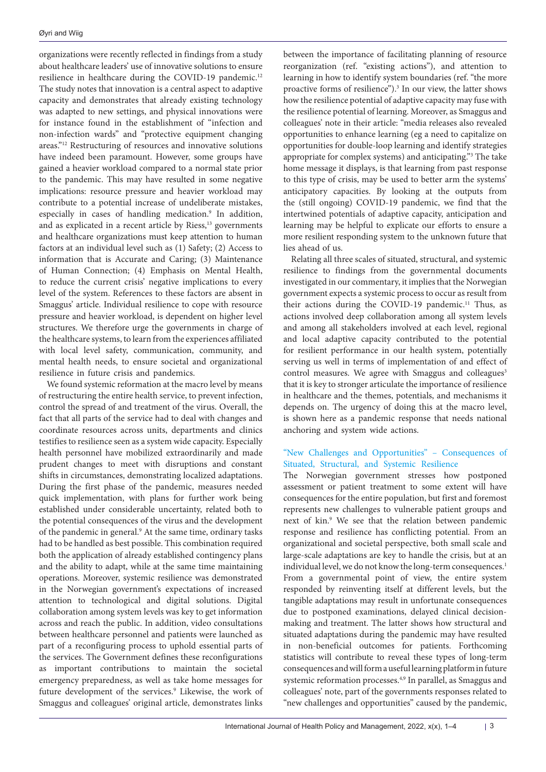organizations were recently reflected in findings from a study about healthcare leaders' use of innovative solutions to ensure resilience in healthcare during the COVID-19 pandemic.<sup>12</sup> The study notes that innovation is a central aspect to adaptive capacity and demonstrates that already existing technology was adapted to new settings, and physical innovations were for instance found in the establishment of "infection and non-infection wards" and "protective equipment changing areas."12 Restructuring of resources and innovative solutions have indeed been paramount. However, some groups have gained a heavier workload compared to a normal state prior to the pandemic. This may have resulted in some negative implications: resource pressure and heavier workload may contribute to a potential increase of undeliberate mistakes, especially in cases of handling medication.<sup>9</sup> In addition, and as explicated in a recent article by Riess,<sup>13</sup> governments and healthcare organizations must keep attention to human factors at an individual level such as (1) Safety; (2) Access to information that is Accurate and Caring; (3) Maintenance of Human Connection; (4) Emphasis on Mental Health, to reduce the current crisis' negative implications to every level of the system. References to these factors are absent in Smaggus' article. Individual resilience to cope with resource pressure and heavier workload, is dependent on higher level structures. We therefore urge the governments in charge of the healthcare systems, to learn from the experiences affiliated with local level safety, communication, community, and mental health needs, to ensure societal and organizational resilience in future crisis and pandemics.

We found systemic reformation at the macro level by means of restructuring the entire health service, to prevent infection, control the spread of and treatment of the virus. Overall, the fact that all parts of the service had to deal with changes and coordinate resources across units, departments and clinics testifies to resilience seen as a system wide capacity. Especially health personnel have mobilized extraordinarily and made prudent changes to meet with disruptions and constant shifts in circumstances, demonstrating localized adaptations. During the first phase of the pandemic, measures needed quick implementation, with plans for further work being established under considerable uncertainty, related both to the potential consequences of the virus and the development of the pandemic in general.<sup>9</sup> At the same time, ordinary tasks had to be handled as best possible. This combination required both the application of already established contingency plans and the ability to adapt, while at the same time maintaining operations. Moreover, systemic resilience was demonstrated in the Norwegian government's expectations of increased attention to technological and digital solutions. Digital collaboration among system levels was key to get information across and reach the public. In addition, video consultations between healthcare personnel and patients were launched as part of a reconfiguring process to uphold essential parts of the services. The Government defines these reconfigurations as important contributions to maintain the societal emergency preparedness, as well as take home messages for future development of the services.<sup>9</sup> Likewise, the work of Smaggus and colleagues' original article, demonstrates links

between the importance of facilitating planning of resource reorganization (ref. "existing actions"), and attention to learning in how to identify system boundaries (ref. "the more proactive forms of resilience").<sup>3</sup> In our view, the latter shows how the resilience potential of adaptive capacity may fuse with the resilience potential of learning. Moreover, as Smaggus and colleagues' note in their article: "media releases also revealed opportunities to enhance learning (eg a need to capitalize on opportunities for double-loop learning and identify strategies appropriate for complex systems) and anticipating."3 The take home message it displays, is that learning from past response to this type of crisis, may be used to better arm the systems' anticipatory capacities. By looking at the outputs from the (still ongoing) COVID-19 pandemic, we find that the intertwined potentials of adaptive capacity, anticipation and learning may be helpful to explicate our efforts to ensure a more resilient responding system to the unknown future that lies ahead of us.

Relating all three scales of situated, structural, and systemic resilience to findings from the governmental documents investigated in our commentary, it implies that the Norwegian government expects a systemic process to occur as result from their actions during the COVID-19 pandemic.<sup>11</sup> Thus, as actions involved deep collaboration among all system levels and among all stakeholders involved at each level, regional and local adaptive capacity contributed to the potential for resilient performance in our health system, potentially serving us well in terms of implementation of and effect of control measures. We agree with Smaggus and colleagues<sup>3</sup> that it is key to stronger articulate the importance of resilience in healthcare and the themes, potentials, and mechanisms it depends on. The urgency of doing this at the macro level, is shown here as a pandemic response that needs national anchoring and system wide actions.

# "New Challenges and Opportunities" – Consequences of Situated, Structural, and Systemic Resilience

The Norwegian government stresses how postponed assessment or patient treatment to some extent will have consequences for the entire population, but first and foremost represents new challenges to vulnerable patient groups and next of kin.<sup>9</sup> We see that the relation between pandemic response and resilience has conflicting potential. From an organizational and societal perspective, both small scale and large-scale adaptations are key to handle the crisis, but at an individual level, we do not know the long-term consequences.<sup>1</sup> From a governmental point of view, the entire system responded by reinventing itself at different levels, but the tangible adaptations may result in unfortunate consequences due to postponed examinations, delayed clinical decisionmaking and treatment. The latter shows how structural and situated adaptations during the pandemic may have resulted in non-beneficial outcomes for patients. Forthcoming statistics will contribute to reveal these types of long-term consequences and will form a useful learning platform in future systemic reformation processes.4,9 In parallel, as Smaggus and colleagues' note, part of the governments responses related to "new challenges and opportunities" caused by the pandemic,